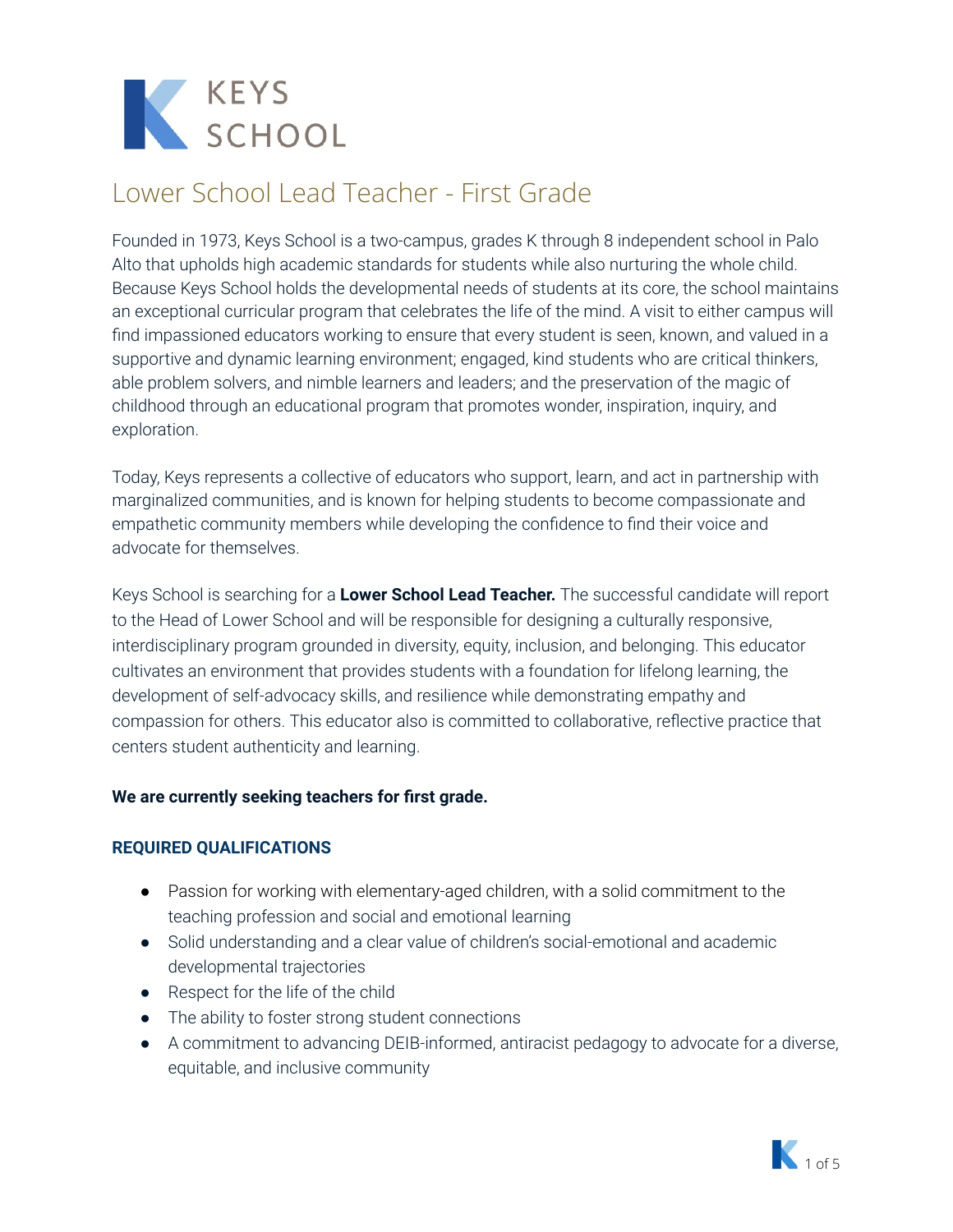

Founded in 1973, Keys School is a two-campus, grades K through 8 independent school in Palo Alto that upholds high academic standards for students while also nurturing the whole child. Because Keys School holds the developmental needs of students at its core, the school maintains an exceptional curricular program that celebrates the life of the mind. A visit to either campus will find impassioned educators working to ensure that every student is seen, known, and valued in a supportive and dynamic learning environment; engaged, kind students who are critical thinkers, able problem solvers, and nimble learners and leaders; and the preservation of the magic of childhood through an educational program that promotes wonder, inspiration, inquiry, and exploration.

Today, Keys represents a collective of educators who support, learn, and act in partnership with marginalized communities, and is known for helping students to become compassionate and empathetic community members while developing the confidence to find their voice and advocate for themselves.

Keys School is searching for a **Lower School Lead Teacher.** The successful candidate will report to the Head of Lower School and will be responsible for designing a culturally responsive, interdisciplinary program grounded in diversity, equity, inclusion, and belonging. This educator cultivates an environment that provides students with a foundation for lifelong learning, the development of self-advocacy skills, and resilience while demonstrating empathy and compassion for others. This educator also is committed to collaborative, reflective practice that centers student authenticity and learning.

#### **We are currently seeking teachers for first grade.**

#### **REQUIRED QUALIFICATIONS**

- Passion for working with elementary-aged children, with a solid commitment to the teaching profession and social and emotional learning
- Solid understanding and a clear value of children's social-emotional and academic developmental trajectories
- Respect for the life of the child
- The ability to foster strong student connections
- A commitment to advancing DEIB-informed, antiracist pedagogy to advocate for a diverse, equitable, and inclusive community

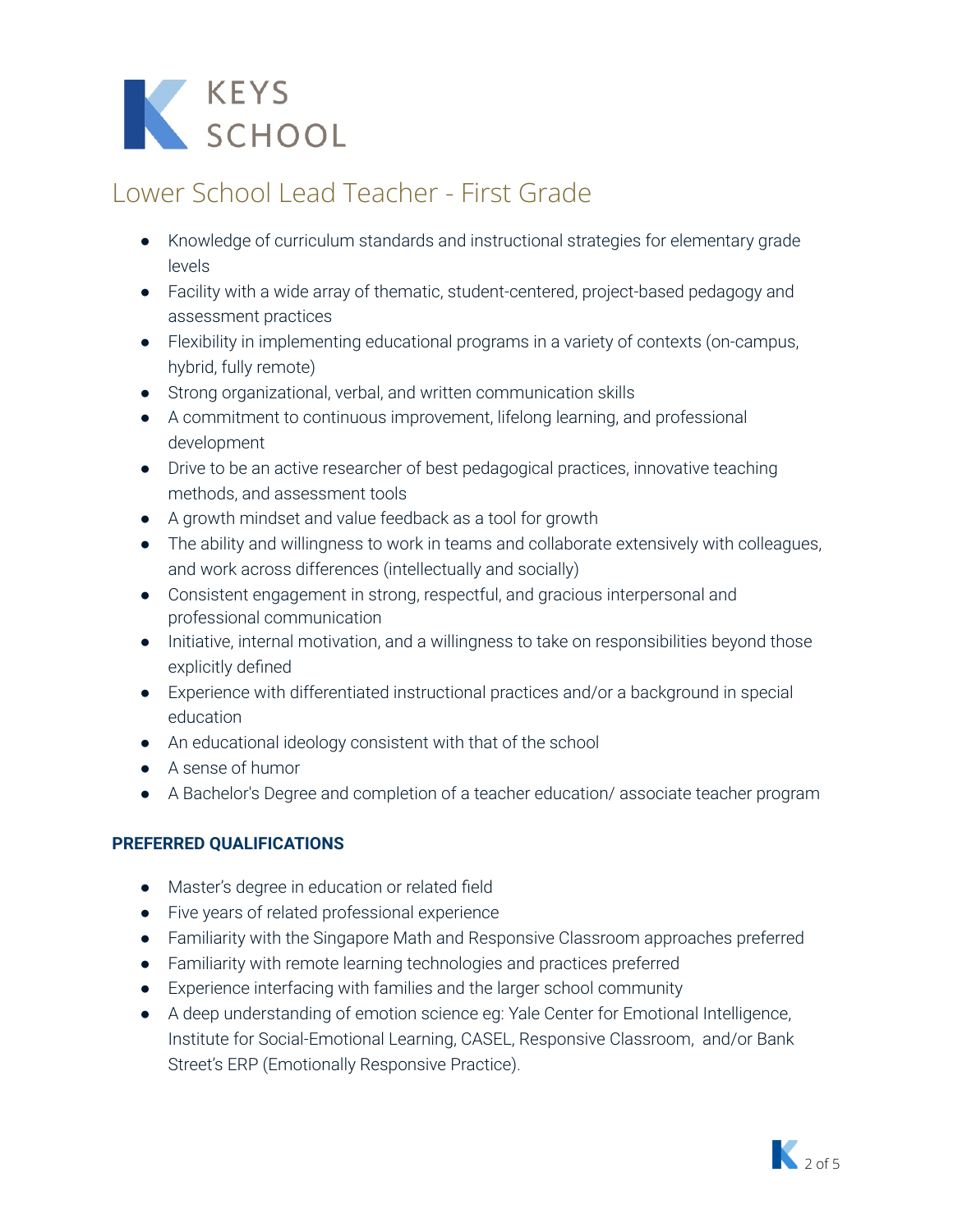# K KEYS<br>SCHOOL

# Lower School Lead Teacher - First Grade

- Knowledge of curriculum standards and instructional strategies for elementary grade levels
- Facility with a wide array of thematic, student-centered, project-based pedagogy and assessment practices
- Flexibility in implementing educational programs in a variety of contexts (on-campus, hybrid, fully remote)
- Strong organizational, verbal, and written communication skills
- A commitment to continuous improvement, lifelong learning, and professional development
- Drive to be an active researcher of best pedagogical practices, innovative teaching methods, and assessment tools
- A growth mindset and value feedback as a tool for growth
- The ability and willingness to work in teams and collaborate extensively with colleagues, and work across differences (intellectually and socially)
- Consistent engagement in strong, respectful, and gracious interpersonal and professional communication
- Initiative, internal motivation, and a willingness to take on responsibilities beyond those explicitly defined
- Experience with differentiated instructional practices and/or a background in special education
- An educational ideology consistent with that of the school
- A sense of humor
- A Bachelor's Degree and completion of a teacher education/ associate teacher program

### **PREFERRED QUALIFICATIONS**

- Master's degree in education or related field
- Five years of related professional experience
- Familiarity with the Singapore Math and Responsive Classroom approaches preferred
- Familiarity with remote learning technologies and practices preferred
- Experience interfacing with families and the larger school community
- **●** A deep understanding of emotion science eg: Yale Center for Emotional Intelligence, Institute for Social-Emotional Learning, CASEL, Responsive Classroom, and/or Bank Street's ERP (Emotionally Responsive Practice).

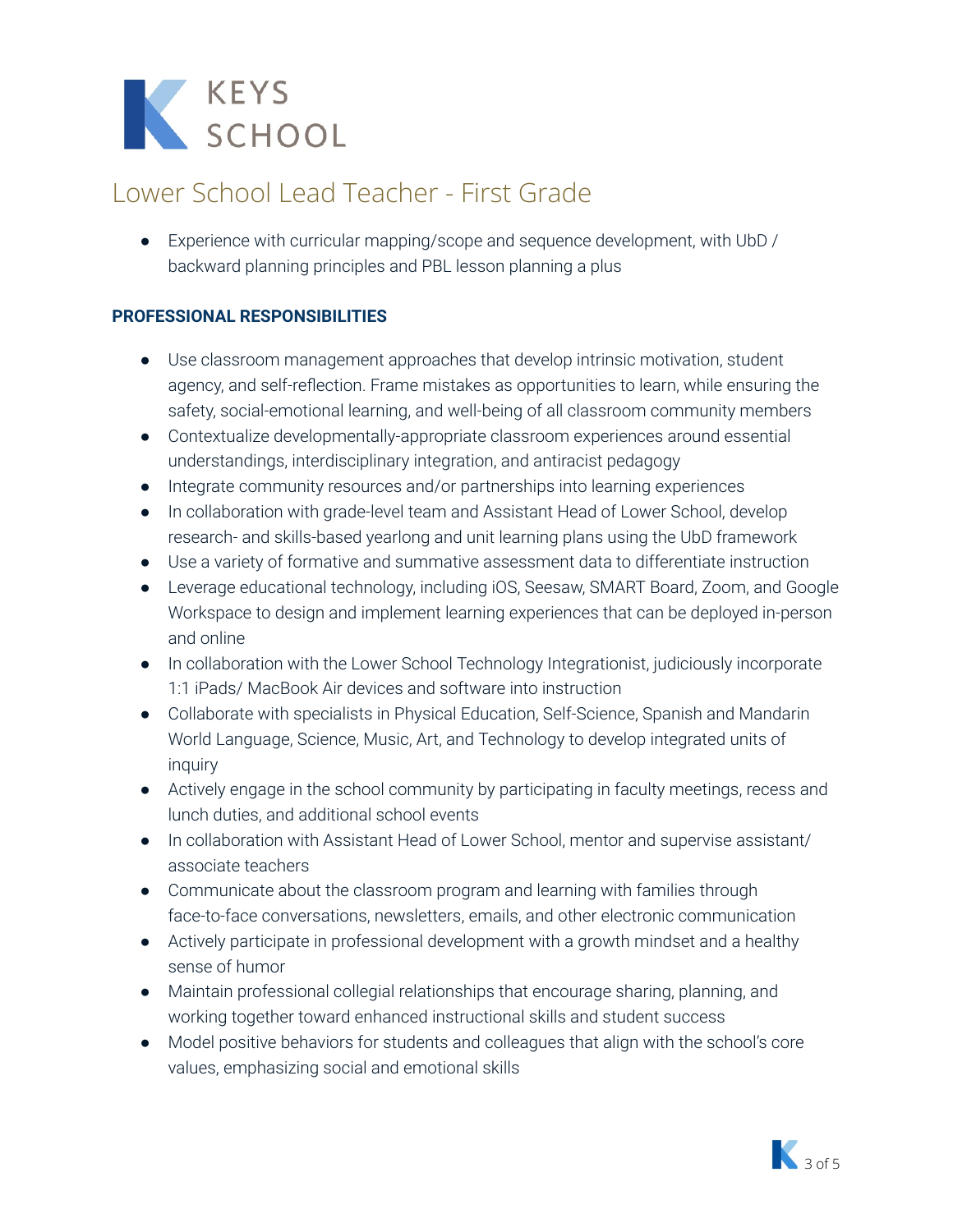

● Experience with curricular mapping/scope and sequence development, with UbD / backward planning principles and PBL lesson planning a plus

#### **PROFESSIONAL RESPONSIBILITIES**

- Use classroom management approaches that develop intrinsic motivation, student agency, and self-reflection. Frame mistakes as opportunities to learn, while ensuring the safety, social-emotional learning, and well-being of all classroom community members
- Contextualize developmentally-appropriate classroom experiences around essential understandings, interdisciplinary integration, and antiracist pedagogy
- Integrate community resources and/or partnerships into learning experiences
- In collaboration with grade-level team and Assistant Head of Lower School, develop research- and skills-based yearlong and unit learning plans using the UbD framework
- Use a variety of formative and summative assessment data to differentiate instruction
- Leverage educational technology, including iOS, Seesaw, SMART Board, Zoom, and Google Workspace to design and implement learning experiences that can be deployed in-person and online
- In collaboration with the Lower School Technology Integrationist, judiciously incorporate 1:1 iPads/ MacBook Air devices and software into instruction
- Collaborate with specialists in Physical Education, Self-Science, Spanish and Mandarin World Language, Science, Music, Art, and Technology to develop integrated units of inquiry
- Actively engage in the school community by participating in faculty meetings, recess and lunch duties, and additional school events
- In collaboration with Assistant Head of Lower School, mentor and supervise assistant/ associate teachers
- Communicate about the classroom program and learning with families through face-to-face conversations, newsletters, emails, and other electronic communication
- Actively participate in professional development with a growth mindset and a healthy sense of humor
- Maintain professional collegial relationships that encourage sharing, planning, and working together toward enhanced instructional skills and student success
- Model positive behaviors for students and colleagues that align with the school's core values, emphasizing social and emotional skills

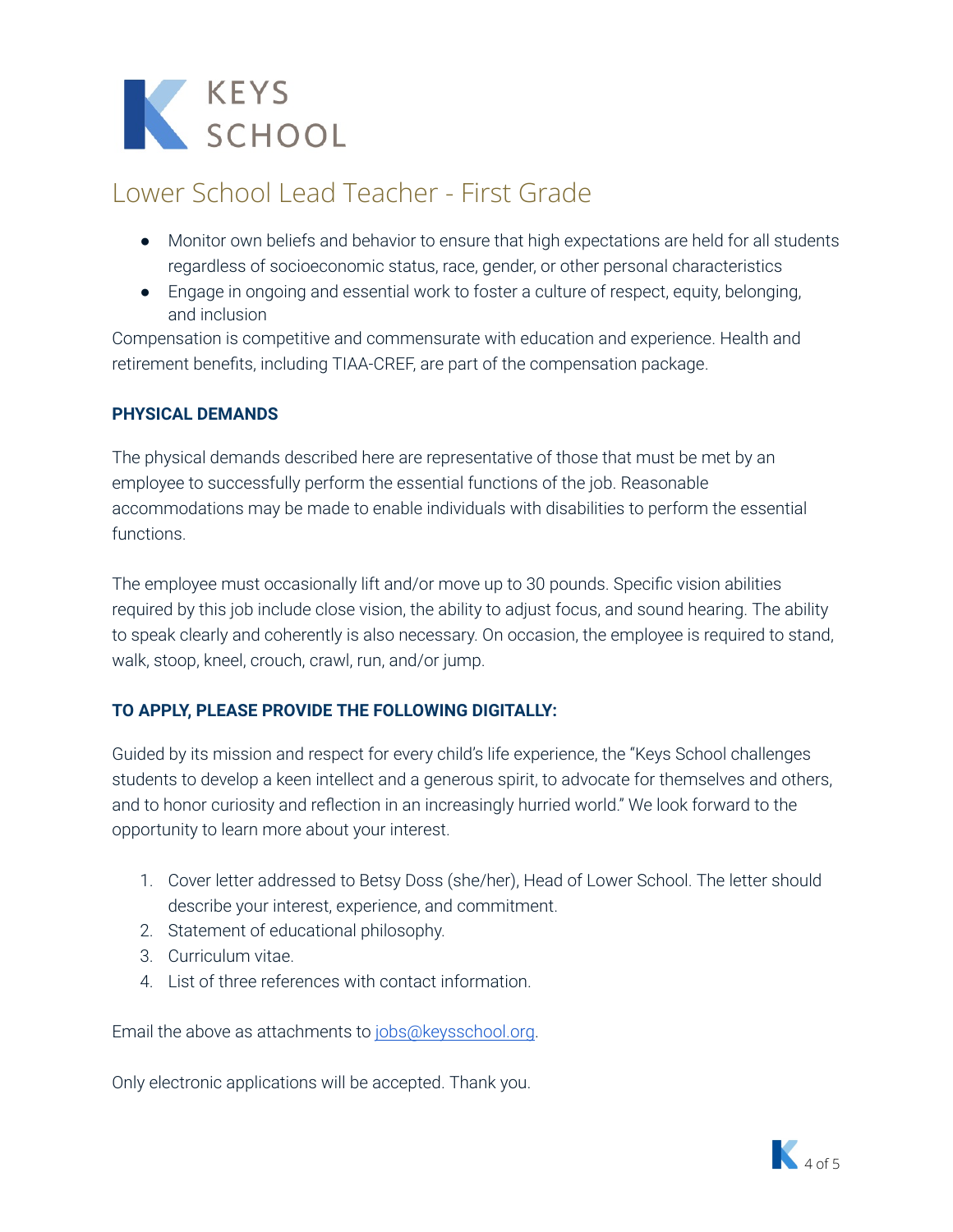

- Monitor own beliefs and behavior to ensure that high expectations are held for all students regardless of socioeconomic status, race, gender, or other personal characteristics
- Engage in ongoing and essential work to foster a culture of respect, equity, belonging, and inclusion

Compensation is competitive and commensurate with education and experience. Health and retirement benefits, including TIAA-CREF, are part of the compensation package.

#### **PHYSICAL DEMANDS**

The physical demands described here are representative of those that must be met by an employee to successfully perform the essential functions of the job. Reasonable accommodations may be made to enable individuals with disabilities to perform the essential functions.

The employee must occasionally lift and/or move up to 30 pounds. Specific vision abilities required by this job include close vision, the ability to adjust focus, and sound hearing. The ability to speak clearly and coherently is also necessary. On occasion, the employee is required to stand, walk, stoop, kneel, crouch, crawl, run, and/or jump.

#### **TO APPLY, PLEASE PROVIDE THE FOLLOWING DIGITALLY:**

Guided by its mission and respect for every child's life experience, the "Keys School challenges students to develop a keen intellect and a generous spirit, to advocate for themselves and others, and to honor curiosity and reflection in an increasingly hurried world." We look forward to the opportunity to learn more about your interest.

- 1. Cover letter addressed to Betsy Doss (she/her), Head of Lower School. The letter should describe your interest, experience, and commitment.
- 2. Statement of educational philosophy.
- 3. Curriculum vitae.
- 4. List of three references with contact information.

Email the above as attachments to [jobs@keysschool.org.](mailto:ericmeneses@keysschook.org)

Only electronic applications will be accepted. Thank you.